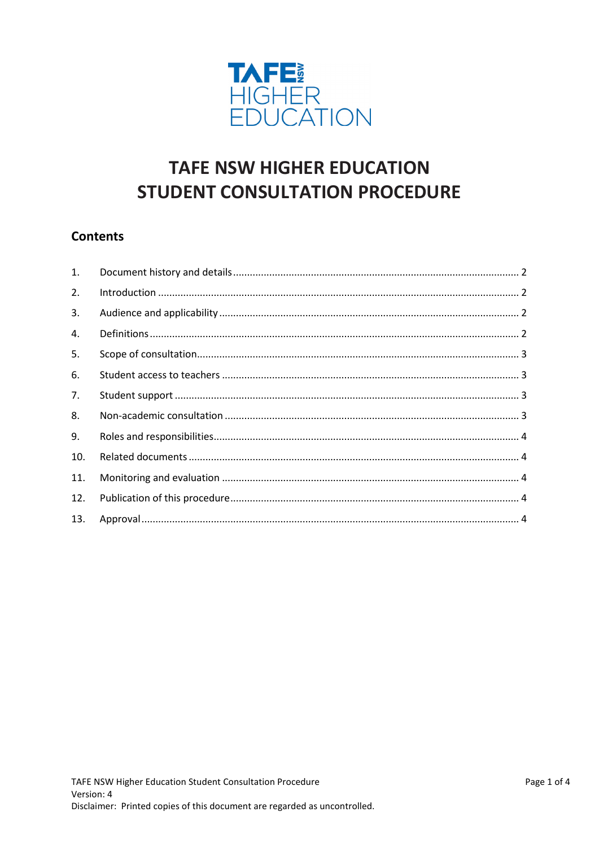

# **TAFE NSW HIGHER EDUCATION STUDENT CONSULTATION PROCEDURE**

## **Contents**

| $\mathbf{1}$ . |  |
|----------------|--|
| 2.             |  |
| 3.             |  |
| 4.             |  |
| 5.             |  |
| 6.             |  |
| 7.             |  |
| 8.             |  |
| 9.             |  |
| 10.            |  |
| 11.            |  |
| 12.            |  |
| 13.            |  |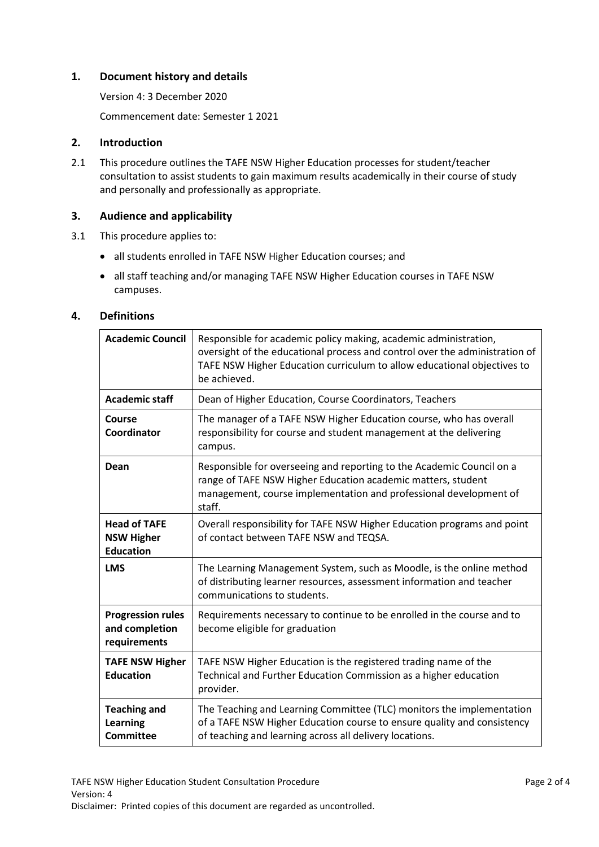## <span id="page-1-0"></span>**1. Document history and details**

Version 4: 3 December 2020

Commencement date: Semester 1 2021

## <span id="page-1-1"></span>**2. Introduction**

2.1 This procedure outlines the TAFE NSW Higher Education processes for student/teacher consultation to assist students to gain maximum results academically in their course of study and personally and professionally as appropriate.

## <span id="page-1-2"></span>**3. Audience and applicability**

- 3.1 This procedure applies to:
	- all students enrolled in TAFE NSW Higher Education courses; and
	- all staff teaching and/or managing TAFE NSW Higher Education courses in TAFE NSW campuses.

#### <span id="page-1-3"></span>**4. Definitions**

| <b>Academic Council</b>                                      | Responsible for academic policy making, academic administration,<br>oversight of the educational process and control over the administration of<br>TAFE NSW Higher Education curriculum to allow educational objectives to<br>be achieved. |
|--------------------------------------------------------------|--------------------------------------------------------------------------------------------------------------------------------------------------------------------------------------------------------------------------------------------|
| <b>Academic staff</b>                                        | Dean of Higher Education, Course Coordinators, Teachers                                                                                                                                                                                    |
| Course<br>Coordinator                                        | The manager of a TAFE NSW Higher Education course, who has overall<br>responsibility for course and student management at the delivering<br>campus.                                                                                        |
| Dean                                                         | Responsible for overseeing and reporting to the Academic Council on a<br>range of TAFE NSW Higher Education academic matters, student<br>management, course implementation and professional development of<br>staff.                       |
| <b>Head of TAFE</b><br><b>NSW Higher</b><br><b>Education</b> | Overall responsibility for TAFE NSW Higher Education programs and point<br>of contact between TAFE NSW and TEQSA.                                                                                                                          |
| <b>LMS</b>                                                   | The Learning Management System, such as Moodle, is the online method<br>of distributing learner resources, assessment information and teacher<br>communications to students.                                                               |
| <b>Progression rules</b><br>and completion<br>requirements   | Requirements necessary to continue to be enrolled in the course and to<br>become eligible for graduation                                                                                                                                   |
| <b>TAFE NSW Higher</b><br><b>Education</b>                   | TAFE NSW Higher Education is the registered trading name of the<br>Technical and Further Education Commission as a higher education<br>provider.                                                                                           |
| <b>Teaching and</b><br>Learning<br><b>Committee</b>          | The Teaching and Learning Committee (TLC) monitors the implementation<br>of a TAFE NSW Higher Education course to ensure quality and consistency<br>of teaching and learning across all delivery locations.                                |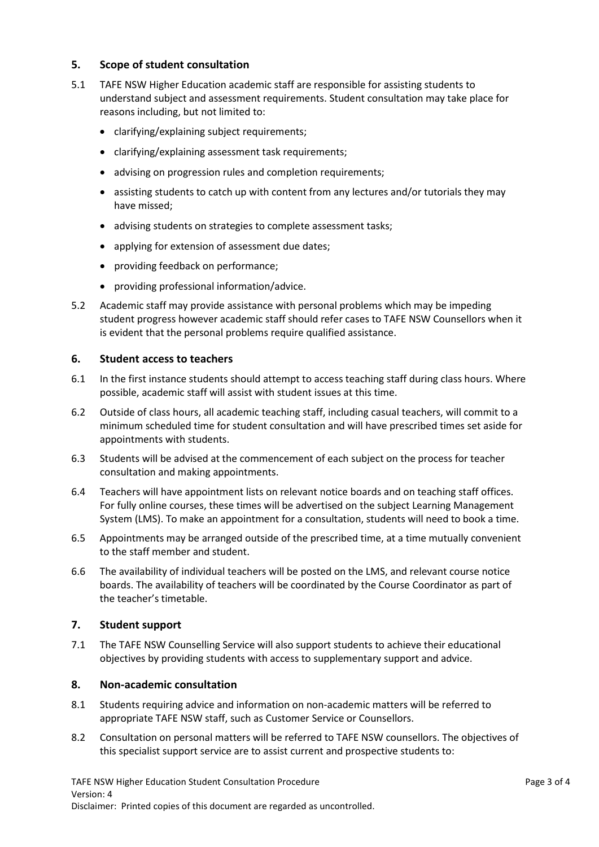## <span id="page-2-0"></span>**5. Scope of student consultation**

- 5.1 TAFE NSW Higher Education academic staff are responsible for assisting students to understand subject and assessment requirements. Student consultation may take place for reasons including, but not limited to:
	- clarifying/explaining subject requirements;
	- clarifying/explaining assessment task requirements;
	- advising on progression rules and completion requirements;
	- assisting students to catch up with content from any lectures and/or tutorials they may have missed;
	- advising students on strategies to complete assessment tasks;
	- applying for extension of assessment due dates;
	- providing feedback on performance;
	- providing professional information/advice.
- 5.2 Academic staff may provide assistance with personal problems which may be impeding student progress however academic staff should refer cases to TAFE NSW Counsellors when it is evident that the personal problems require qualified assistance.

#### <span id="page-2-1"></span>**6. Student access to teachers**

- 6.1 In the first instance students should attempt to access teaching staff during class hours. Where possible, academic staff will assist with student issues at this time.
- 6.2 Outside of class hours, all academic teaching staff, including casual teachers, will commit to a minimum scheduled time for student consultation and will have prescribed times set aside for appointments with students.
- 6.3 Students will be advised at the commencement of each subject on the process for teacher consultation and making appointments.
- 6.4 Teachers will have appointment lists on relevant notice boards and on teaching staff offices. For fully online courses, these times will be advertised on the subject Learning Management System (LMS). To make an appointment for a consultation, students will need to book a time.
- 6.5 Appointments may be arranged outside of the prescribed time, at a time mutually convenient to the staff member and student.
- 6.6 The availability of individual teachers will be posted on the LMS, and relevant course notice boards. The availability of teachers will be coordinated by the Course Coordinator as part of the teacher's timetable.

#### <span id="page-2-2"></span>**7. Student support**

7.1 The TAFE NSW Counselling Service will also support students to achieve their educational objectives by providing students with access to supplementary support and advice.

#### <span id="page-2-3"></span>**8. Non-academic consultation**

- 8.1 Students requiring advice and information on non-academic matters will be referred to appropriate TAFE NSW staff, such as Customer Service or Counsellors.
- 8.2 Consultation on personal matters will be referred to TAFE NSW counsellors. The objectives of this specialist support service are to assist current and prospective students to: